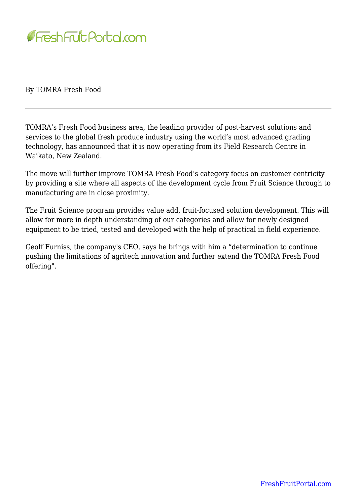

By TOMRA Fresh Food

TOMRA's Fresh Food business area, the leading provider of post-harvest solutions and services to the global fresh produce industry using the world's most advanced grading technology, has announced that it is now operating from its Field Research Centre in Waikato, New Zealand.

The move will further improve TOMRA Fresh Food's category focus on customer centricity by providing a site where all aspects of the development cycle from Fruit Science through to manufacturing are in close proximity.

The Fruit Science program provides value add, fruit-focused solution development. This will allow for more in depth understanding of our categories and allow for newly designed equipment to be tried, tested and developed with the help of practical in field experience.

Geoff Furniss, the company's CEO, says he brings with him a "determination to continue pushing the limitations of agritech innovation and further extend the TOMRA Fresh Food offering".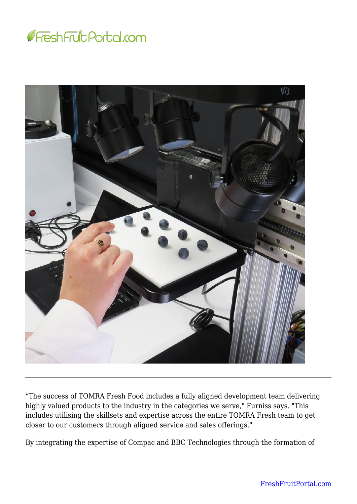



"The success of TOMRA Fresh Food includes a fully aligned development team delivering highly valued products to the industry in the categories we serve," Furniss says. "This includes utilising the skillsets and expertise across the entire TOMRA Fresh team to get closer to our customers through aligned service and sales offerings."

By integrating the expertise of Compac and BBC Technologies through the formation of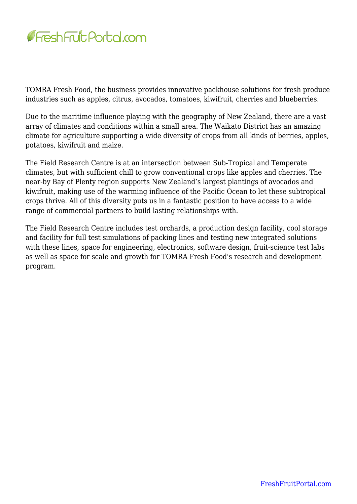

TOMRA Fresh Food, the business provides innovative packhouse solutions for fresh produce industries such as apples, citrus, avocados, tomatoes, kiwifruit, cherries and blueberries.

Due to the maritime influence playing with the geography of New Zealand, there are a vast array of climates and conditions within a small area. The Waikato District has an amazing climate for agriculture supporting a wide diversity of crops from all kinds of berries, apples, potatoes, kiwifruit and maize.

The Field Research Centre is at an intersection between Sub-Tropical and Temperate climates, but with sufficient chill to grow conventional crops like apples and cherries. The near-by Bay of Plenty region supports New Zealand's largest plantings of avocados and kiwifruit, making use of the warming influence of the Pacific Ocean to let these subtropical crops thrive. All of this diversity puts us in a fantastic position to have access to a wide range of commercial partners to build lasting relationships with.

The Field Research Centre includes test orchards, a production design facility, cool storage and facility for full test simulations of packing lines and testing new integrated solutions with these lines, space for engineering, electronics, software design, fruit-science test labs as well as space for scale and growth for TOMRA Fresh Food's research and development program.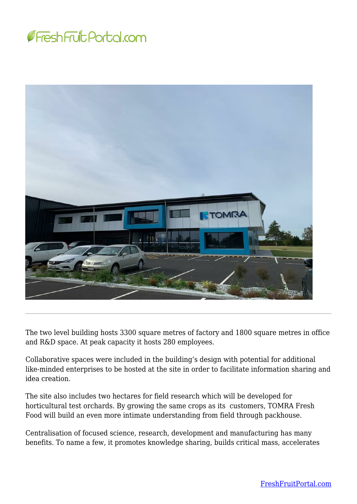



The two level building hosts 3300 square metres of factory and 1800 square metres in office and R&D space. At peak capacity it hosts 280 employees.

Collaborative spaces were included in the building's design with potential for additional like-minded enterprises to be hosted at the site in order to facilitate information sharing and idea creation.

The site also includes two hectares for field research which will be developed for horticultural test orchards. By growing the same crops as its customers, TOMRA Fresh Food will build an even more intimate understanding from field through packhouse.

Centralisation of focused science, research, development and manufacturing has many benefits. To name a few, it promotes knowledge sharing, builds critical mass, accelerates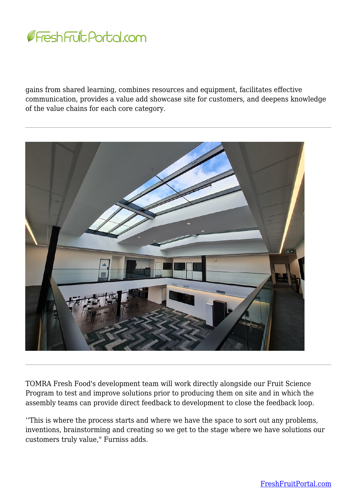

gains from shared learning, combines resources and equipment, facilitates effective communication, provides a value add showcase site for customers, and deepens knowledge of the value chains for each core category.



TOMRA Fresh Food's development team will work directly alongside our Fruit Science Program to test and improve solutions prior to producing them on site and in which the assembly teams can provide direct feedback to development to close the feedback loop.

''This is where the process starts and where we have the space to sort out any problems, inventions, brainstorming and creating so we get to the stage where we have solutions our customers truly value," Furniss adds.